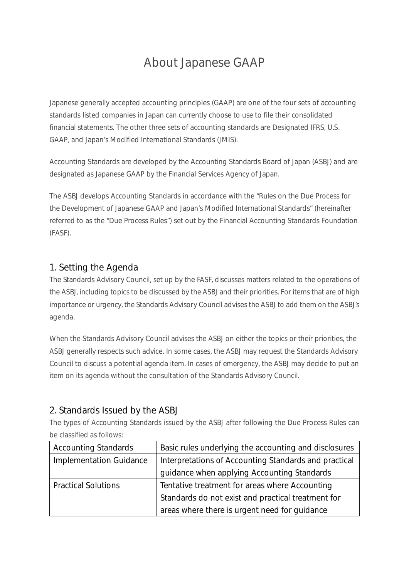# About Japanese GAAP

Japanese generally accepted accounting principles (GAAP) are one of the four sets of accounting standards listed companies in Japan can currently choose to use to file their consolidated financial statements. The other three sets of accounting standards are Designated IFRS, U.S. GAAP, and Japan's Modified International Standards (JMIS).

Accounting Standards are developed by the Accounting Standards Board of Japan (ASBJ) and are designated as Japanese GAAP by the Financial Services Agency of Japan.

The ASBJ develops Accounting Standards in accordance with the "Rules on the Due Process for the Development of Japanese GAAP and Japan's Modified International Standards" (hereinafter referred to as the "Due Process Rules") set out by the Financial Accounting Standards Foundation (FASF).

## 1. Setting the Agenda

The Standards Advisory Council, set up by the FASF, discusses matters related to the operations of the ASBJ, including topics to be discussed by the ASBJ and their priorities. For items that are of high importance or urgency, the Standards Advisory Council advises the ASBJ to add them on the ASBJ's agenda.

When the Standards Advisory Council advises the ASBJ on either the topics or their priorities, the ASBJ generally respects such advice. In some cases, the ASBJ may request the Standards Advisory Council to discuss a potential agenda item. In cases of emergency, the ASBJ may decide to put an item on its agenda without the consultation of the Standards Advisory Council.

#### 2. Standards Issued by the ASBJ

The types of Accounting Standards issued by the ASBJ after following the Due Process Rules can be classified as follows:

| <b>Accounting Standards</b>    | Basic rules underlying the accounting and disclosures |
|--------------------------------|-------------------------------------------------------|
| <b>Implementation Guidance</b> | Interpretations of Accounting Standards and practical |
|                                | guidance when applying Accounting Standards           |
| <b>Practical Solutions</b>     | Tentative treatment for areas where Accounting        |
|                                | Standards do not exist and practical treatment for    |
|                                | areas where there is urgent need for guidance         |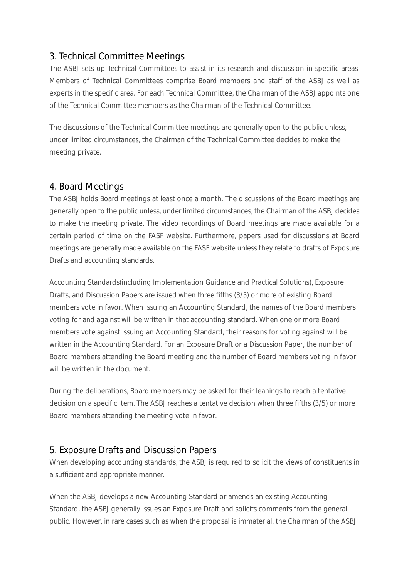# 3. Technical Committee Meetings

The ASBJ sets up Technical Committees to assist in its research and discussion in specific areas. Members of Technical Committees comprise Board members and staff of the ASBJ as well as experts in the specific area. For each Technical Committee, the Chairman of the ASBJ appoints one of the Technical Committee members as the Chairman of the Technical Committee.

The discussions of the Technical Committee meetings are generally open to the public unless, under limited circumstances, the Chairman of the Technical Committee decides to make the meeting private.

#### 4. Board Meetings

The ASBJ holds Board meetings at least once a month. The discussions of the Board meetings are generally open to the public unless, under limited circumstances, the Chairman of the ASBJ decides to make the meeting private. The video recordings of Board meetings are made available for a certain period of time on the FASF website. Furthermore, papers used for discussions at Board meetings are generally made available on the FASF website unless they relate to drafts of Exposure Drafts and accounting standards.

Accounting Standards(including Implementation Guidance and Practical Solutions), Exposure Drafts, and Discussion Papers are issued when three fifths (3/5) or more of existing Board members vote in favor. When issuing an Accounting Standard, the names of the Board members voting for and against will be written in that accounting standard. When one or more Board members vote against issuing an Accounting Standard, their reasons for voting against will be written in the Accounting Standard. For an Exposure Draft or a Discussion Paper, the number of Board members attending the Board meeting and the number of Board members voting in favor will be written in the document.

During the deliberations, Board members may be asked for their leanings to reach a tentative decision on a specific item. The ASBJ reaches a tentative decision when three fifths (3/5) or more Board members attending the meeting vote in favor.

## 5. Exposure Drafts and Discussion Papers

When developing accounting standards, the ASBJ is required to solicit the views of constituents in a sufficient and appropriate manner.

When the ASBJ develops a new Accounting Standard or amends an existing Accounting Standard, the ASBJ generally issues an Exposure Draft and solicits comments from the general public. However, in rare cases such as when the proposal is immaterial, the Chairman of the ASBJ